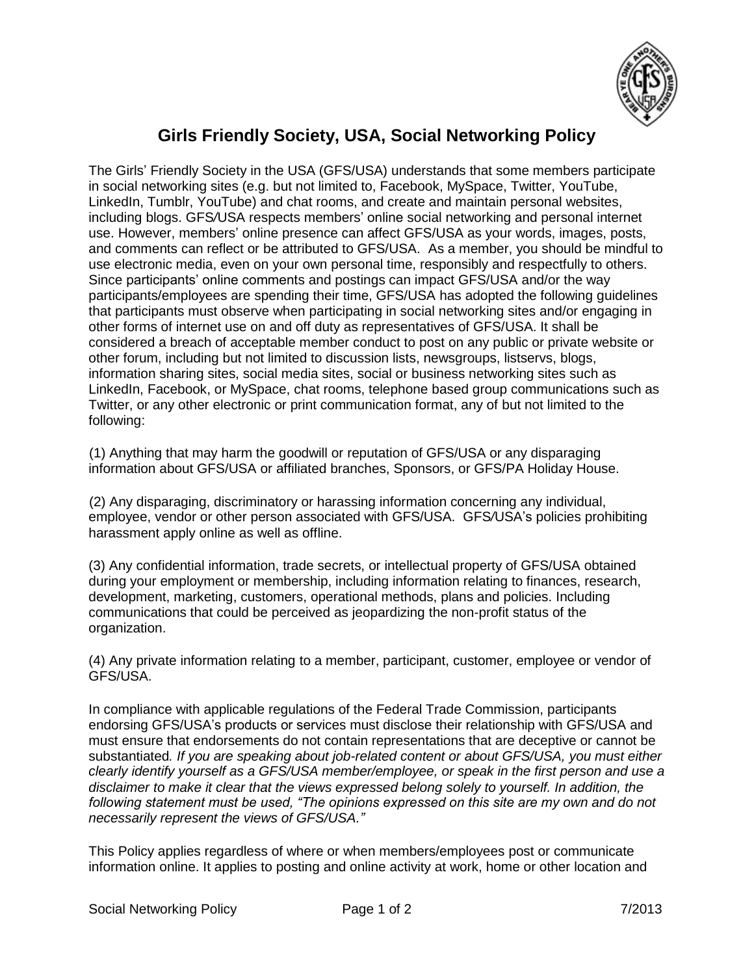

## **Girls Friendly Society, USA, Social Networking Policy**

The Girls' Friendly Society in the USA (GFS/USA) understands that some members participate in social networking sites (e.g. but not limited to, Facebook, MySpace, Twitter, YouTube, LinkedIn, Tumblr, YouTube) and chat rooms, and create and maintain personal websites, including blogs. GFS*/*USA respects members' online social networking and personal internet use. However, members' online presence can affect GFS/USA as your words, images, posts, and comments can reflect or be attributed to GFS/USA. As a member, you should be mindful to use electronic media, even on your own personal time, responsibly and respectfully to others. Since participants' online comments and postings can impact GFS/USA and/or the way participants/employees are spending their time, GFS/USA has adopted the following guidelines that participants must observe when participating in social networking sites and/or engaging in other forms of internet use on and off duty as representatives of GFS/USA. It shall be considered a breach of acceptable member conduct to post on any public or private website or other forum, including but not limited to discussion lists, newsgroups, listservs, blogs, information sharing sites, social media sites, social or business networking sites such as LinkedIn, Facebook, or MySpace, chat rooms, telephone based group communications such as Twitter, or any other electronic or print communication format, any of but not limited to the following:

 (1) Anything that may harm the goodwill or reputation of GFS/USA or any disparaging information about GFS/USA or affiliated branches, Sponsors, or GFS/PA Holiday House.

 (2) Any disparaging, discriminatory or harassing information concerning any individual, employee, vendor or other person associated with GFS/USA. GFS*/*USA's policies prohibiting harassment apply online as well as offline.

(3) Any confidential information, trade secrets, or intellectual property of GFS/USA obtained during your employment or membership, including information relating to finances, research, development, marketing, customers, operational methods, plans and policies. Including communications that could be perceived as jeopardizing the non-profit status of the organization.

(4) Any private information relating to a member, participant, customer, employee or vendor of GFS/USA.

In compliance with applicable regulations of the Federal Trade Commission, participants endorsing GFS/USA's products or services must disclose their relationship with GFS/USA and must ensure that endorsements do not contain representations that are deceptive or cannot be substantiated*. If you are speaking about job-related content or about GFS/USA, you must either clearly identify yourself as a GFS/USA member/employee, or speak in the first person and use a disclaimer to make it clear that the views expressed belong solely to yourself. In addition, the following statement must be used, "The opinions expressed on this site are my own and do not necessarily represent the views of GFS/USA."*

This Policy applies regardless of where or when members/employees post or communicate information online. It applies to posting and online activity at work, home or other location and